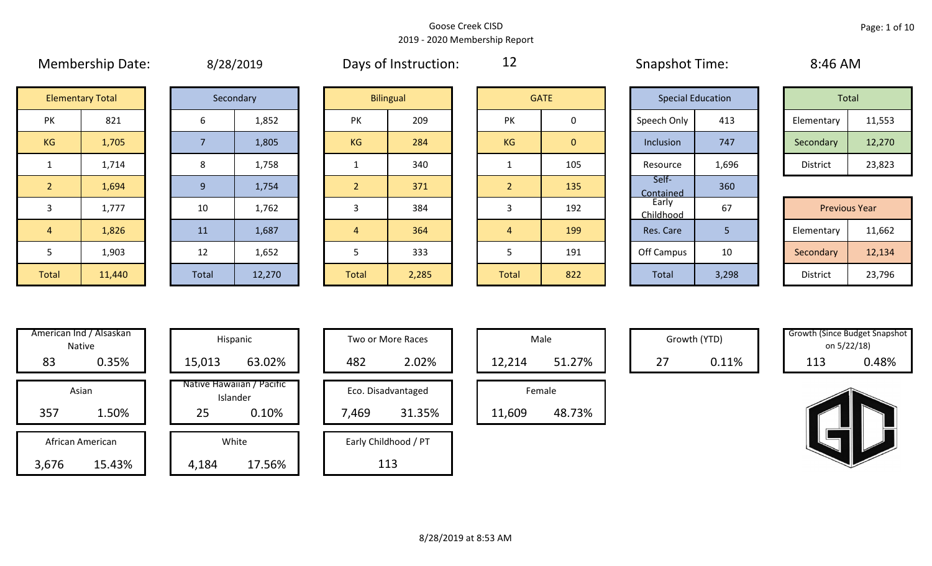|                |                         |       | $-7$ $-0$ $-0$ $-0$ |                |                  |                |              |                          |       | . <i>.</i><br>Total<br>Elementary<br>Secondary<br>District<br><b>Previous Year</b> |        |  |  |  |
|----------------|-------------------------|-------|---------------------|----------------|------------------|----------------|--------------|--------------------------|-------|------------------------------------------------------------------------------------|--------|--|--|--|
|                | <b>Elementary Total</b> |       | Secondary           |                | <b>Bilingual</b> |                | <b>GATE</b>  | <b>Special Education</b> |       |                                                                                    |        |  |  |  |
| PK             | 821                     | 6     | 1,852               | PK             | 209              | PK             | 0            | Speech Only              | 413   |                                                                                    | 11,553 |  |  |  |
| KG             | 1,705                   |       | 1,805               | <b>KG</b>      | 284              | KG             | $\mathbf{0}$ | Inclusion                | 747   |                                                                                    | 12,270 |  |  |  |
|                | 1,714                   | 8     | 1,758               |                | 340              |                | 105          | Resource                 | 1,696 |                                                                                    | 23,823 |  |  |  |
| $\overline{2}$ | 1,694                   | 9     | 1,754               |                | 371              | $\overline{2}$ | 135          | Self-<br>Contained       | 360   |                                                                                    |        |  |  |  |
| 3              | 1,777                   | 10    | 1,762               | 3              | 384              | 3              | 192          | Early<br>Childhood       | 67    |                                                                                    |        |  |  |  |
| $\overline{4}$ | 1,826                   | 11    | 1,687               | $\overline{4}$ | 364              | $\overline{4}$ | 199          | Res. Care                | 5     | Elementary                                                                         | 11,662 |  |  |  |
| 5              | 1,903                   | 12    | 1,652               |                | 333              | 5              | 191          | Off Campus               | 10    | Secondary                                                                          | 12,134 |  |  |  |
| Total          | 11,440                  | Total | 12,270              | <b>Total</b>   | 2,285            | Total          | 822          | Total                    | 3,298 | District                                                                           | 23,796 |  |  |  |

Membership Date:  $\mu$  8/28/2019 Membership Days of Instruction:  $\mu$  12 Snapshot Time: 8:46 AM

12

|                      | <b>Elementary Total</b> |  | Secondary |           | <b>Bilingual</b> |           | <b>GATE</b> | <b>Special Education</b> |       |            | Total  |
|----------------------|-------------------------|--|-----------|-----------|------------------|-----------|-------------|--------------------------|-------|------------|--------|
| ∕ו ר<br>$\mathbf{N}$ | 821                     |  | 1,852     | PK        | 209              | PK        |             | Speech Only              | 413   | Elementary | 11,553 |
| G                    | 1,705                   |  | 1,805     | <b>KG</b> | 284              | <b>KG</b> | 0           | Inclusion                | 747   | Secondary  | 12,270 |
|                      | 1,714                   |  | 1,758     |           | 340              |           | 105         | Resource                 | 1,696 | District   | 23,823 |

|             |        |       |        |       |       |              |     | -----------        |       |                      |        |
|-------------|--------|-------|--------|-------|-------|--------------|-----|--------------------|-------|----------------------|--------|
|             | 1,777  | 10    | 1,762  |       | 384   |              | 192 | Early<br>Childhood | 67    | <b>Previous Year</b> |        |
|             | 1,826  | 11    | 1,687  |       | 364   |              | 199 | Res. Care          |       | Elementary           | 11,662 |
|             | 1,903  | 12    | 1,652  |       | 333   |              | 191 | Off Campus         | 10    | Secondary            | 12,134 |
| <b>otal</b> | 11,440 | Total | 12,270 | Total | 2,285 | <b>Total</b> | 822 | Total              | 3,298 | District             | 23,796 |

| Hispani                    | American Ind / Alsaskan<br><b>Native</b> |                  |  |  |  |  |  |  |  |
|----------------------------|------------------------------------------|------------------|--|--|--|--|--|--|--|
| 15,013                     | 0.35%                                    | 83               |  |  |  |  |  |  |  |
| Native Hawaiiai<br>Islande | Asian                                    |                  |  |  |  |  |  |  |  |
| 25                         | 1.50%                                    | 357              |  |  |  |  |  |  |  |
|                            |                                          |                  |  |  |  |  |  |  |  |
| White                      |                                          | African American |  |  |  |  |  |  |  |
| 4,184                      | 15.43%                                   | 3,676            |  |  |  |  |  |  |  |

|       | American Ind / Alsaskan<br>Native |        | Hispanic                              |       | Two or More Races    |        | Male   |    | Growth (YTD) | <b>Growth (Since Budget Snaps)</b><br>on 5/22/18) |       |
|-------|-----------------------------------|--------|---------------------------------------|-------|----------------------|--------|--------|----|--------------|---------------------------------------------------|-------|
| 83    | 0.35%                             | 15,013 | 63.02%                                | 482   | 2.02%                | 12,214 | 51.27% | 27 | 0.11%        | 113                                               | 0.48% |
|       | Asian                             |        | Native Hawaiian / Pacific<br>Islander |       | Eco. Disadvantaged   |        | Female |    |              |                                                   |       |
| 357   | 1.50%                             | 25     | 0.10%                                 | 7,469 | 31.35%               | 11,609 | 48.73% |    |              |                                                   |       |
|       | African American                  |        | White                                 |       | Early Childhood / PT |        |        |    |              |                                                   |       |
| 3,676 | 15.43%                            | 4,184  | 17.56%                                |       | 113                  |        |        |    |              |                                                   |       |

| Hispanic                                | Two or More Races                     | Male                  |
|-----------------------------------------|---------------------------------------|-----------------------|
| 63.02%                                  | 2.02%<br>482                          | 12,214                |
| lawaiian / Pacific<br>Islander<br>0.10% | Eco. Disadvantaged<br>31.35%<br>7,469 | Female<br>11,609<br>ı |
| White<br>17.56%                         | Early Childhood / PT<br>113           |                       |

| Male   |        |  |  |  |  |  |  |  |  |  |
|--------|--------|--|--|--|--|--|--|--|--|--|
| 12,214 | 51.27% |  |  |  |  |  |  |  |  |  |
| Female |        |  |  |  |  |  |  |  |  |  |
|        |        |  |  |  |  |  |  |  |  |  |

Growth (YTD) Growth (Since Budget Snapshot on 5/22/18)

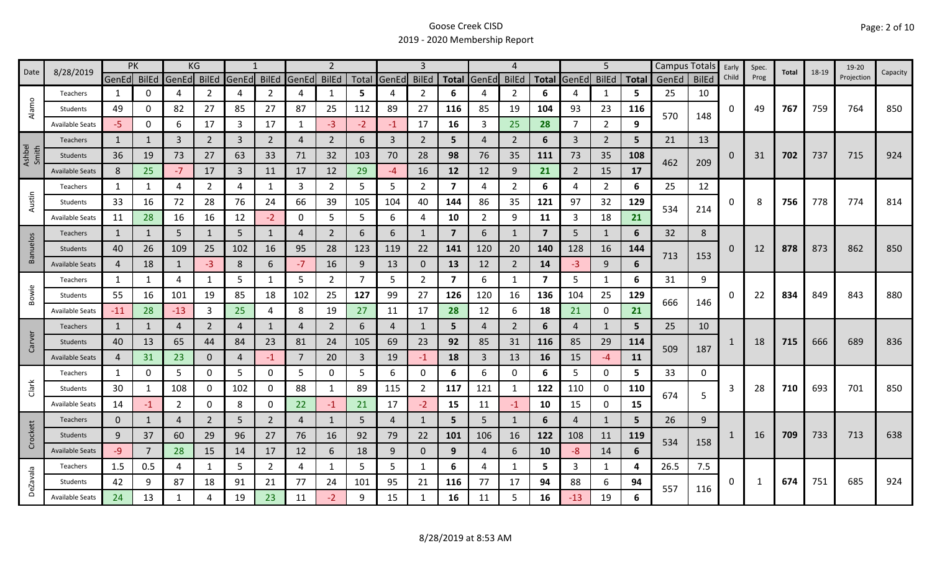|                 | 8/28/2019              | PK             |              | KG             |                |                |                |       | $\overline{2}$ |                |                | 3              |                |                | 4              |                |                | 5              |              |       | Campus Totals | Early    | Spec. | Total | 18-19 | 19-20      |          |
|-----------------|------------------------|----------------|--------------|----------------|----------------|----------------|----------------|-------|----------------|----------------|----------------|----------------|----------------|----------------|----------------|----------------|----------------|----------------|--------------|-------|---------------|----------|-------|-------|-------|------------|----------|
| Date            |                        | GenEd BilEd    |              | GenEd          | <b>BilEd</b>   | GenEd          | <b>BilEd</b>   | GenEd | <b>BilEd</b>   |                | Total GenEd    | <b>BilEd</b>   |                | Total GenEd    | <b>BilEd</b>   | <b>Total</b>   | GenEd          | <b>BilEd</b>   | <b>Total</b> | GenEd | <b>BilEd</b>  | Child    | Prog  |       |       | Projection | Capacity |
|                 | Teachers               | 1              | 0            | 4              | 2              | 4              | $\overline{2}$ | 4     | $\mathbf{1}$   | 5              | 4              | 2              | 6              |                | 2              | 6              |                | 1              | 5.           | 25    | 10            |          |       |       |       |            |          |
| Alamo           | Students               | 49             | 0            | 82             | 27             | 85             | 27             | 87    | 25             | 112            | 89             | 27             | 116            | 85             | 19             | 104            | 93             | 23             | 116          |       |               | 0        | 49    | 767   | 759   | 764        | 850      |
|                 | <b>Available Seats</b> | -5.            | 0            | 6              | 17             | 3              | 17             | 1     | $-3$           | $-2$           | $-1$           | 17             | 16             | 3              | 25             | 28             | 7              | $\overline{2}$ | 9            | 570   | 148           |          |       |       |       |            |          |
|                 | Teachers               | 1              |              | $\mathbf{3}$   | $\overline{2}$ | $\overline{3}$ | $\overline{2}$ | 4     | $\overline{2}$ | 6              | $\mathbf{3}$   | $\overline{2}$ | 5              | $\overline{4}$ | 2              | 6              | $\overline{3}$ | $\overline{2}$ | 5            | 21    | 13            |          |       |       |       |            |          |
| Ashbel<br>Smith | Students               | 36             | 19           | 73             | 27             | 63             | 33             | 71    | 32             | 103            | 70             | 28             | 98             | 76             | 35             | 111            | 73             | 35             | 108          |       |               | $\Omega$ | 31    | 702   | 737   | 715        | 924      |
|                 | <b>Available Seats</b> | 8              | 25           | $-7$           | 17             | $\overline{3}$ | 11             | 17    | 12             | 29             | $-4$           | 16             | 12             | 12             | 9              | 21             | $\overline{2}$ | 15             | 17           | 462   | 209           |          |       |       |       |            |          |
|                 | Teachers               | 1              | 1            | 4              | 2              | 4              | 1              | 3     | $\overline{2}$ | 5              | 5              | $\overline{2}$ | 7              | 4              | $\overline{2}$ | 6              | 4              | $\overline{2}$ | 6            | 25    | 12            |          |       |       |       |            |          |
| Austin          | Students               | 33             | 16           | 72             | 28             | 76             | 24             | 66    | 39             | 105            | 104            | 40             | 144            | 86             | 35             | 121            | 97             | 32             | 129          |       |               | 0        | 8     | 756   | 778   | 774        | 814      |
|                 | <b>Available Seats</b> | 11             | 28           | 16             | 16             | 12             | $-2$           | 0     | 5              | 5              | 6              | 4              | 10             | $\overline{2}$ | 9              | 11             | 3              | 18             | 21           | 534   | 214           |          |       |       |       |            |          |
|                 | <b>Teachers</b>        | 1              | 1            | 5              | $\mathbf{1}$   | 5              | $\mathbf{1}$   | 4     | $\overline{2}$ | 6              | 6              |                | $\overline{7}$ | 6              | -1             | $\overline{7}$ | 5              | 1              | 6            | 32    | 8             |          |       |       |       |            |          |
| Banuelos        | Students               | 40             | 26           | 109            | 25             | 102            | 16             | 95    | 28             | 123            | 119            | 22             | 141            | 120            | 20             | 140            | 128            | 16             | 144          |       |               | 0        | 12    | 878   | 873   | 862        | 850      |
|                 | <b>Available Seats</b> | $\overline{4}$ | 18           | $\mathbf{1}$   | $-3$           | 8              | 6              | $-7$  | 16             | 9              | 13             | 0              | 13             | 12             | $\overline{2}$ | 14             | $-3$           | 9              | 6            | 713   | 153           |          |       |       |       |            |          |
|                 | Teachers               | $\mathbf{1}$   | $\mathbf{1}$ | 4              |                | 5              | $\mathbf{1}$   | 5     | $\overline{2}$ | 7              | 5              | $\overline{2}$ | 7              | 6              | -1             | 7              | 5              | $\mathbf{1}$   | 6            | 31    | 9             |          |       |       |       |            |          |
| Bowie           | Students               | 55             | 16           | 101            | 19             | 85             | 18             | 102   | 25             | 127            | 99             | 27             | 126            | 120            | 16             | 136            | 104            | 25             | 129          |       |               | 0        | 22    | 834   | 849   | 843        | 880      |
|                 | <b>Available Seats</b> | $-11$          | 28           | $-13$          | 3              | 25             | 4              | 8     | 19             | 27             | 11             | 17             | 28             | 12             | 6              | 18             | 21             | $\mathbf 0$    | 21           | 666   | 146           |          |       |       |       |            |          |
|                 | Teachers               | $\mathbf{1}$   | $\mathbf{1}$ | 4              | $\overline{2}$ | $\overline{4}$ | $\mathbf{1}$   | 4     | 2              | 6              | 4              |                | 5              | 4              | 2              | 6              | 4              | $\mathbf{1}$   | 5            | 25    | 10            |          |       |       |       |            |          |
| Carver          | Students               | 40             | 13           | 65             | 44             | 84             | 23             | 81    | 24             | 105            | 69             | 23             | 92             | 85             | 31             | 116            | 85             | 29             | 114          |       |               |          | 18    | 715   | 666   | 689        | 836      |
|                 | <b>Available Seats</b> | $\overline{4}$ | 31           | 23             | 0              | $\overline{4}$ | $-1$           | 7     | 20             | $\overline{3}$ | 19             | $-1$           | 18             | 3              | 13             | 16             | 15             | $-4$           | 11           | 509   | 187           |          |       |       |       |            |          |
|                 | Teachers               | 1              | 0            | 5              | 0              | 5              | 0              | 5     | 0              | 5.             | 6              | 0              | 6              | 6              | 0              | 6              | 5              | $\mathbf 0$    | 5.           | 33    | 0             |          |       |       |       |            |          |
| Clark           | Students               | 30             |              | 108            | 0              | 102            | 0              | 88    | $\mathbf{1}$   | 89             | 115            | $\overline{2}$ | 117            | 121            | $\mathbf{1}$   | 122            | 110            | 0              | 110          | 674   |               | 3        | 28    | 710   | 693   | 701        | 850      |
|                 | <b>Available Seats</b> | 14             | $-1$         | $\overline{2}$ | 0              | 8              | 0              | 22    | $-1$           | 21             | 17             | $-2$           | 15             | 11             | $-1$           | 10             | 15             | $\mathbf 0$    | 15           |       | 5             |          |       |       |       |            |          |
|                 | Teachers               | $\mathbf 0$    | 1            | $\overline{4}$ | $\overline{2}$ | 5              | $\overline{2}$ | 4     | $\mathbf{1}$   | 5              | $\overline{4}$ |                | 5              | 5 <sup>1</sup> | $\mathbf{1}$   | 6              | 4              | 1              | 5            | 26    | 9             |          |       |       |       |            |          |
| Crockett        | Students               | 9              | 37           | 60             | 29             | 96             | 27             | 76    | 16             | 92             | 79             | 22             | 101            | 106            | 16             | 122            | 108            | 11             | 119          | 534   |               |          | 16    | 709   | 733   | 713        | 638      |
|                 | <b>Available Seats</b> | $-9$           | 7            | 28             | 15             | 14             | 17             | 12    | 6              | 18             | 9              | $\mathbf{0}$   | 9              | 4              | 6              | 10             | -8             | 14             | 6            |       | 158           |          |       |       |       |            |          |
|                 | Teachers               | 1.5            | 0.5          | 4              | 1              | 5              | $\overline{2}$ | 4     | 1              | 5              | 5              | 1              | 6              | 4              | -1             | 5.             | 3              | 1              | 4            | 26.5  | 7.5           |          |       |       |       |            |          |
| <b>DeZavala</b> | Students               | 42             | 9            | 87             | 18             | 91             | 21             | 77    | 24             | 101            | 95             | 21             | 116            | 77             | 17             | 94             | 88             | 6              | 94           | 557   |               | 0        | 1     | 674   | 751   | 685        | 924      |
|                 | <b>Available Seats</b> | 24             | 13           | $\mathbf{1}$   |                | 19             | 23             | 11    | $-2$           | q              | 15             |                | 16             | 11             | 5              | 16             | $-13$          | 19             | 6            |       | 116           |          |       |       |       |            |          |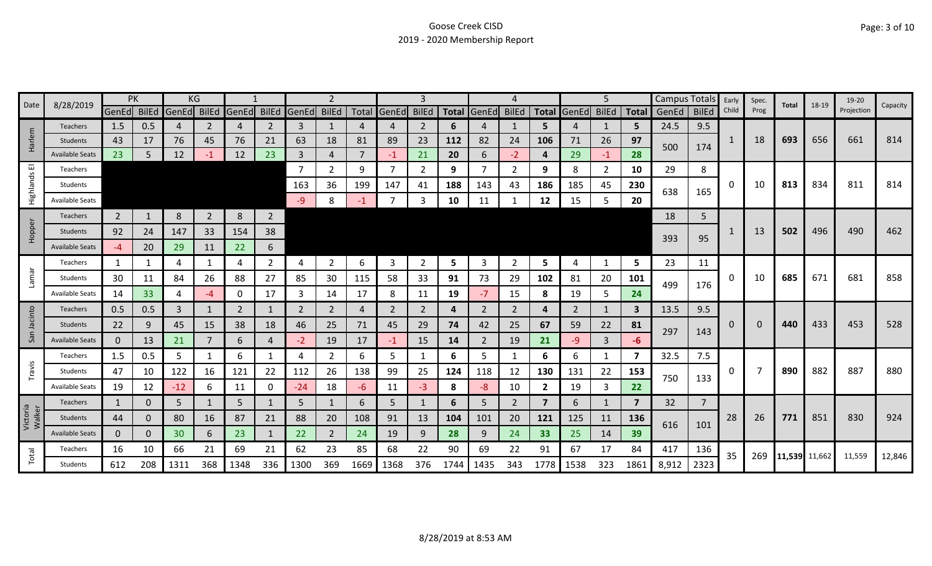|                    | 8/28/2019              |                | PK  |             | ΚG             |       |                |             |                |          |                |                |           |                |                |                |                   | 5              |       | Campus Totals |                | Early | Spec. | Total         | 18-19 | 19-20      | Capacity |
|--------------------|------------------------|----------------|-----|-------------|----------------|-------|----------------|-------------|----------------|----------|----------------|----------------|-----------|----------------|----------------|----------------|-------------------|----------------|-------|---------------|----------------|-------|-------|---------------|-------|------------|----------|
| Date               |                        | GenEd BilEd    |     | GenEd BilEd |                | GenEd |                | BilEd GenEd | <b>BilEd</b>   |          | Total GenEd    | <b>BilEd</b>   |           | Total GenEd    | <b>BilEd</b>   |                | Total GenEd BilEd |                | Total | GenEd         | <b>BilEd</b>   | Child | Prog  |               |       | Projection |          |
|                    | Teachers               | 1.5            | 0.5 |             | 2              | 4     | $\overline{2}$ | 3           | 1              |          | 4              | 2              | 6         | 4              | 1              | 5.             | 4                 | 1              | 5     | 24.5          | 9.5            |       |       |               |       |            |          |
| arlem              | <b>Students</b>        | 43             | 17  | 76          | 45             | 76    | 21             | 63          | 18             | 81       | 89             | 23             | 112       | 82             | 24             | 106            | 71                | 26             | 97    | 500           | 174            | 1     | 18    | 693           | 656   | 661        | 814      |
| I                  | <b>Available Seats</b> | 23             | 5   | 12          | -1             | 12    | 23             | 3           | $\overline{4}$ |          | $-1$           | 21             | <b>20</b> | 6              | $-2$           | 4              | 29                | $-1$           | 28    |               |                |       |       |               |       |            |          |
| ш                  | Teachers               |                |     |             |                |       |                |             | $\overline{2}$ | 9        | $\overline{7}$ | 2              | 9         |                | $\overline{2}$ | 9              | 8                 | $\overline{2}$ | 10    | 29            | 8              |       |       |               |       |            |          |
| Highlands          | Students               |                |     |             |                |       |                | 163         | 36             | 199      | 147            | 41             | 188       | 143            | 43             | 186            | 185               | 45             | 230   | 638           | 165            | 0     | 10    | 813           | 834   | 811        | 814      |
|                    | <b>Available Seats</b> |                |     |             |                |       |                | -9          | 8              | -1       | 7              | 3              | 10        | 11             |                | 12             | 15                | 5              | 20    |               |                |       |       |               |       |            |          |
|                    | <b>Teachers</b>        | $\overline{2}$ |     | 8           | $\overline{2}$ | 8     | $\overline{2}$ |             |                |          |                |                |           |                |                |                |                   |                |       | 18            | 5              |       |       |               |       |            |          |
| Hopper             | <b>Students</b>        | 92             | 24  | 147         | 33             | 154   | 38             |             |                |          |                |                |           |                |                |                |                   |                |       |               |                |       | 13    | 502           | 496   | 490        | 462      |
|                    | <b>Available Seats</b> | -4             | 20  | 29          | 11             | 22    | 6              |             |                |          |                |                |           |                |                |                |                   |                |       | 393           | 95             |       |       |               |       |            |          |
|                    | Teachers               | 1              |     | 4           | 1              | 4     | $\overline{2}$ | 4           | $\overline{2}$ | 6        | 3              | $\overline{2}$ | 5         | 3              | $\overline{2}$ | 5              | 4                 | 1              | 5     | 23            | 11             |       |       |               |       |            |          |
| Lamar              | Students               | 30             | 11  | 84          | 26             | 88    | 27             | 85          | 30             | 115      | 58             | 33             | 91        | 73             | 29             | 102            | 81                | 20             | 101   |               |                | 0     | 10    | 685           | 671   | 681        | 858      |
|                    | Available Seats        | 14             | 33  | 4           | -4             | 0     | 17             | 3           | 14             | 17       | 8              | 11             | 19        | $-7$           | 15             | 8              | 19                | 5              | 24    | 499           | 176            |       |       |               |       |            |          |
| cinto              | <b>Teachers</b>        | 0.5            | 0.5 | 3           | $\mathbf{1}$   | 2     | $\mathbf{1}$   | 2           | $\overline{2}$ | $\Delta$ | 2              | 2              | 4         | $\mathbf{2}$   | 2              | 4              | 2                 | $\mathbf{1}$   | 3     | 13.5          | 9.5            |       |       |               |       |            |          |
|                    | Students               | 22             | 9   | 45          | 15             | 38    | 18             | 46          | 25             | 71       | 45             | 29             | 74        | 42             | 25             | 67             | 59                | 22             | 81    |               |                | 0     | 0     | 440           | 433   | 453        | 528      |
| San                | <b>Available Seats</b> | $\mathbf{0}$   | 13  | 21          | 7              | 6     | 4              | -2          | 19             | 17       | $-1$           | 15             | 14        | $\overline{2}$ | 19             | 21             | -9                | 3              | -6    | 297           | 143            |       |       |               |       |            |          |
|                    | Teachers               | 1.5            | 0.5 | 5           | 1              | 6     | 1              | 4           | $\overline{2}$ | 6        | 5              | 1              | 6         | 5              | 1              | 6              | 6                 | 1              | 7     | 32.5          | 7.5            |       |       |               |       |            |          |
| Travis             | Students               | 47             | 10  | 122         | 16             | 121   | 22             | 112         | 26             | 138      | 99             | 25             | 124       | 118            | 12             | 130            | 131               | 22             | 153   | 750           |                | 0     |       | 890           | 882   | 887        | 880      |
|                    | Available Seat         | 19             | 12  | $-12$       | 6              | 11    | 0              | $-24$       | 18             | -6       | 11             | $-3$           | 8         | -8             | 10             | $\overline{2}$ | 19                | 3              | 22    |               | 133            |       |       |               |       |            |          |
|                    | <b>Teachers</b>        | $\mathbf{1}$   | 0   | 5           | $\mathbf{1}$   | 5     | $\mathbf{1}$   | 5           | 1              | 6        | 5              |                | 6         | 5.             | $\overline{2}$ | $\overline{7}$ | 6                 | $\mathbf{1}$   | 7     | 32            | $\overline{7}$ |       |       |               |       |            |          |
| Victoria<br>Walker | <b>Students</b>        | 44             | 0   | 80          | 16             | 87    | 21             | 88          | 20             | 108      | 91             | 13             | 104       | 101            | 20             | 121            | 125               | 11             | 136   |               |                | 28    | 26    | 771           | 851   | 830        | 924      |
|                    | <b>Available Seats</b> | $\mathbf{0}$   | 0   | 30          | 6              | 23    | 1              | 22          | $\overline{2}$ | 24       | 19             | 9              | 28        | 9              | 24             | 33             | 25                | 14             | 39    | 616           | 101            |       |       |               |       |            |          |
|                    | Teachers               | 16             | 10  | 66          | 21             | 69    | 21             | 62          | 23             | 85       | 68             | 22             | 90        | 69             | 22             | 91             | 67                | 17             | 84    | 417           | 136            |       |       |               |       |            |          |
| Total              | <b>Students</b>        | 612            | 208 | 1311        | 368            | 1348  | 336            | 1300        | 369            | 1669     | 1368           | 376            | 1744      | 1435           | 343            | 1778           | 1538              | 323            | 1861  | 8,912         | 2323           | 35    | 269   | 11,539 11,662 |       | 11,559     | 12,846   |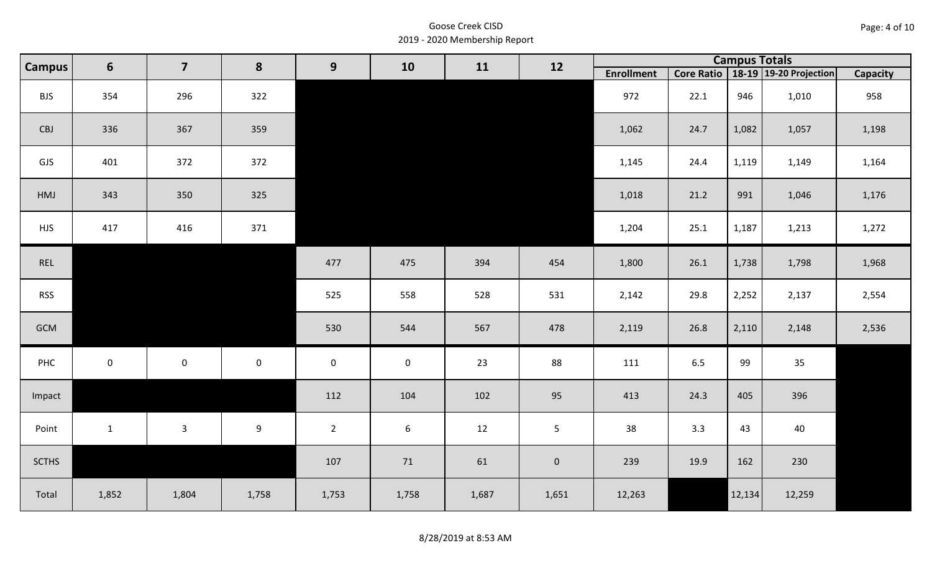| Page: 4 of 10 |  |
|---------------|--|
|---------------|--|

| <b>Campus</b> | $6\phantom{1}$ | $\overline{\mathbf{z}}$ | 8           | 9                   | 10          | 11    | 12                  |                   |         | <b>Campus Totals</b> |                                       |                 |
|---------------|----------------|-------------------------|-------------|---------------------|-------------|-------|---------------------|-------------------|---------|----------------------|---------------------------------------|-----------------|
|               |                |                         |             |                     |             |       |                     | <b>Enrollment</b> |         |                      | Core Ratio   18-19   19-20 Projection | <b>Capacity</b> |
| <b>BJS</b>    | 354            | 296                     | 322         |                     |             |       |                     | 972               | 22.1    | 946                  | 1,010                                 | 958             |
| CBJ           | 336            | 367                     | 359         |                     |             |       |                     | 1,062             | 24.7    | 1,082                | 1,057                                 | 1,198           |
| GJS           | 401            | 372                     | 372         |                     |             |       |                     | 1,145             | 24.4    | 1,119                | 1,149                                 | 1,164           |
| HMJ           | 343            | 350                     | 325         |                     |             |       |                     | 1,018             | 21.2    | 991                  | 1,046                                 | 1,176           |
| <b>HJS</b>    | 417            | 416                     | 371         |                     |             |       |                     | 1,204             | 25.1    | 1,187                | 1,213                                 | 1,272           |
| REL           |                |                         |             | 477                 | 475         | 394   | 454                 | 1,800             | 26.1    | 1,738                | 1,798                                 | 1,968           |
| <b>RSS</b>    |                |                         |             | 525                 | 558         | 528   | 531                 | 2,142             | 29.8    | 2,252                | 2,137                                 | 2,554           |
| GCM           |                |                         |             | 530                 | 544         | 567   | 478                 | 2,119             | 26.8    | 2,110                | 2,148                                 | 2,536           |
| PHC           | $\overline{0}$ | $\mathsf{O}\xspace$     | $\mathbf 0$ | $\mathsf{O}\xspace$ | $\mathbf 0$ | 23    | 88                  | 111               | $6.5\,$ | 99                   | 35                                    |                 |
| Impact        |                |                         |             | 112                 | 104         | 102   | 95                  | 413               | 24.3    | 405                  | 396                                   |                 |
| Point         | $\mathbf{1}$   | $\mathbf{3}$            | 9           | $2^{\circ}$         | $6\,$       | 12    | 5 <sub>1</sub>      | 38                | 3.3     | 43                   | 40                                    |                 |
| <b>SCTHS</b>  |                |                         |             | 107                 | 71          | 61    | $\mathsf{O}\xspace$ | 239               | 19.9    | 162                  | 230                                   |                 |
| Total         | 1,852          | 1,804                   | 1,758       | 1,753               | 1,758       | 1,687 | 1,651               | 12,263            |         | 12,134               | 12,259                                |                 |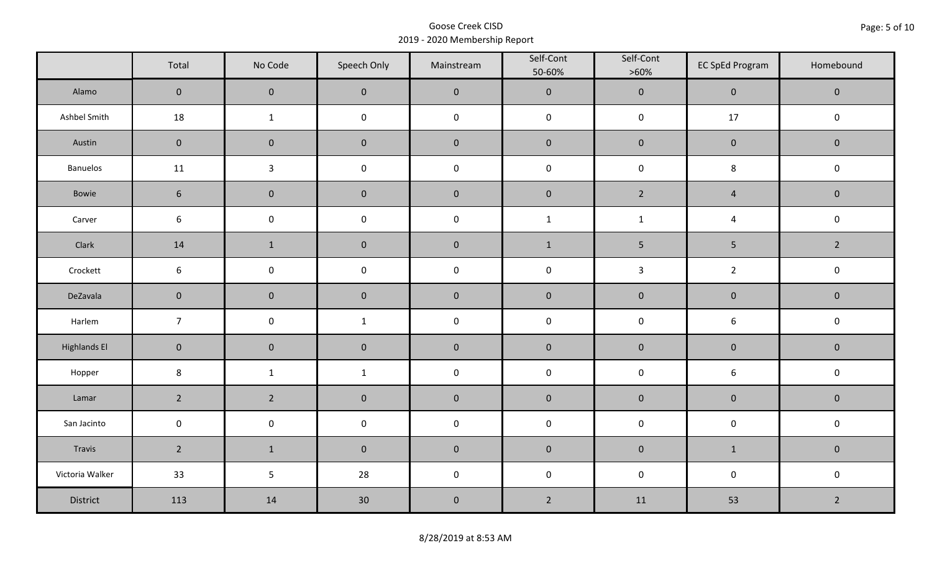|                     | Total           | No Code             | Speech Only         | Mainstream | Self-Cont<br>50-60% | Self-Cont<br>$>60\%$ | <b>EC SpEd Program</b> | Homebound      |  |
|---------------------|-----------------|---------------------|---------------------|------------|---------------------|----------------------|------------------------|----------------|--|
| Alamo               | $\mathbf{0}$    | $\mathbf 0$         | $\mathbf 0$         | $\pmb{0}$  | $\pmb{0}$           | $\pmb{0}$            | $\mathbf 0$            | $\mathbf 0$    |  |
| Ashbel Smith        | 18              | $\mathbf{1}$        | $\mathsf{O}\xspace$ | $\pmb{0}$  | $\pmb{0}$           | $\pmb{0}$            | $17$                   | $\mathbf 0$    |  |
| Austin              | $\mathbf 0$     | $\mathbf 0$         | $\mathbf 0$         | $\pmb{0}$  | $\pmb{0}$           | $\pmb{0}$            | $\pmb{0}$              | $\mathbf 0$    |  |
| <b>Banuelos</b>     | 11              | $\mathbf{3}$        | $\pmb{0}$           | $\pmb{0}$  | $\mathsf 0$         | $\pmb{0}$            | 8                      | $\pmb{0}$      |  |
| Bowie               | $6\phantom{1}$  | $\mathbf 0$         | $\mathbf 0$         | $\pmb{0}$  | $\pmb{0}$           | $2^{\circ}$          | $\overline{4}$         | $\mathbf 0$    |  |
| Carver              | 6               | $\mathsf{O}\xspace$ | $\pmb{0}$           | $\pmb{0}$  | $\mathbf 1$         | $\mathbf 1$          | $\overline{4}$         | $\pmb{0}$      |  |
| Clark               | 14              | $\mathbf{1}$        | $\pmb{0}$           | $\pmb{0}$  | $\mathbf{1}$        | 5                    | $\sqrt{5}$             | $\overline{2}$ |  |
| Crockett            | $6\phantom{.}6$ | $\mathsf 0$         | $\pmb{0}$           | $\pmb{0}$  | $\pmb{0}$           | $\mathbf{3}$         | $\overline{2}$         | $\pmb{0}$      |  |
| DeZavala            | $\mathbf 0$     | $\mathbf 0$         | $\mathbf 0$         | $\pmb{0}$  | $\pmb{0}$           | $\pmb{0}$            | $\pmb{0}$              | $\mathbf 0$    |  |
| Harlem              | $\overline{7}$  | $\mathsf 0$         | $\mathbf{1}$        | $\pmb{0}$  | $\pmb{0}$           | $\pmb{0}$            | $\boldsymbol{6}$       | $\pmb{0}$      |  |
| <b>Highlands El</b> | $\mathbf 0$     | $\mathbf 0$         | $\mathbf 0$         | $\pmb{0}$  | $\pmb{0}$           | $\pmb{0}$            | $\pmb{0}$              | $\mathbf 0$    |  |
| Hopper              | $\bf 8$         | $\mathbf{1}$        | $\mathbf{1}$        | $\pmb{0}$  | $\pmb{0}$           | $\pmb{0}$            | $\,$ 6 $\,$            | $\pmb{0}$      |  |
| Lamar               | $\overline{2}$  | $2^{\circ}$         | $\pmb{0}$           | $\pmb{0}$  | $\pmb{0}$           | $\pmb{0}$            | $\pmb{0}$              | $\pmb{0}$      |  |
| San Jacinto         | $\mathbf 0$     | $\mathbf 0$         | $\mathsf{O}\xspace$ | $\pmb{0}$  | $\pmb{0}$           | $\pmb{0}$            | $\pmb{0}$              | $\pmb{0}$      |  |
| Travis              | $2^{\circ}$     | $\mathbf{1}$        | $\mathbf 0$         | $\pmb{0}$  | $\pmb{0}$           | $\pmb{0}$            | $\mathbf{1}$           | $\mathbf 0$    |  |
| Victoria Walker     | 33              | 5                   | 28                  | $\pmb{0}$  | $\pmb{0}$           | $\pmb{0}$            | $\pmb{0}$              | $\pmb{0}$      |  |
| District            | 113             | 14                  | 30                  | $\pmb{0}$  | $\overline{2}$      | 11                   | 53                     | $\overline{2}$ |  |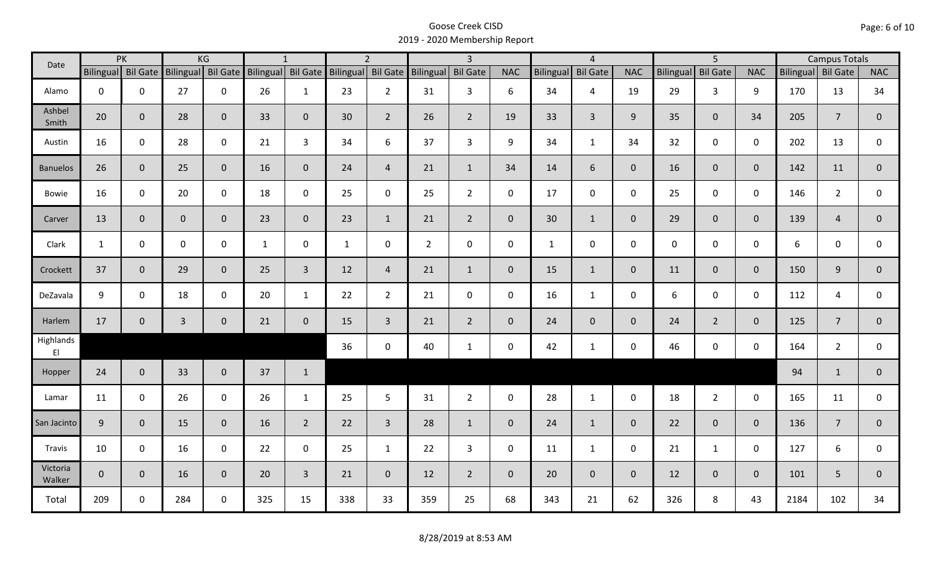| Date                                |                    | PK           |                    | KG           |                    | $\mathbf{1}$   |                    | $\overline{2}$  |                    | $\overline{3}$ |              |              | $\overline{4}$     |                |             | $\overline{5}$  |                |      | <b>Campus Totals</b> |                |
|-------------------------------------|--------------------|--------------|--------------------|--------------|--------------------|----------------|--------------------|-----------------|--------------------|----------------|--------------|--------------|--------------------|----------------|-------------|-----------------|----------------|------|----------------------|----------------|
|                                     | Bilingual Bil Gate |              | Bilingual Bil Gate |              | Bilingual Bil Gate |                | Bilingual Bil Gate |                 | Bilingual Bil Gate |                | <b>NAC</b>   |              | Bilingual Bil Gate | <b>NAC</b>     | Bilingual   | <b>Bil Gate</b> | <b>NAC</b>     |      | Bilingual Bil Gate   | <b>NAC</b>     |
| Alamo                               | $\mathbf 0$        | $\mathbf 0$  | 27                 | $\mathbf 0$  | 26                 | $\mathbf{1}$   | 23                 | $2^{\circ}$     | 31                 | 3              | 6            | 34           | $\overline{4}$     | 19             | 29          | $\mathbf{3}$    | 9              | 170  | 13                   | 34             |
| Ashbel<br>Smith                     | 20                 | $\mathbf 0$  | 28                 | $\mathbf{0}$ | 33                 | $\mathbf{0}$   | 30                 | $\overline{2}$  | 26                 | $\overline{2}$ | 19           | 33           | $\overline{3}$     | 9              | 35          | $\overline{0}$  | 34             | 205  | $\overline{7}$       | $\mathbf{0}$   |
| Austin                              | 16                 | $\mathbf 0$  | 28                 | $\mathbf 0$  | 21                 | $\overline{3}$ | 34                 | 6               | 37                 | $\overline{3}$ | 9            | 34           | $\mathbf{1}$       | 34             | 32          | $\mathbf 0$     | $\mathbf 0$    | 202  | 13                   | $\mathbf 0$    |
| <b>Banuelos</b>                     | 26                 | $\mathbf{0}$ | 25                 | $\mathbf 0$  | 16                 | $\mathbf{0}$   | 24                 | $\overline{4}$  | 21                 | $\mathbf{1}$   | 34           | 14           | 6                  | $\overline{0}$ | 16          | $\overline{0}$  | $\overline{0}$ | 142  | 11                   | $\mathbf{0}$   |
| Bowie                               | 16                 | $\mathbf 0$  | 20                 | $\mathbf 0$  | 18                 | $\mathbf 0$    | 25                 | $\mathbf{0}$    | 25                 | $2^{\circ}$    | $\mathsf{O}$ | 17           | $\mathbf 0$        | $\mathsf{O}$   | 25          | $\mathbf 0$     | $\mathbf 0$    | 146  | $\overline{2}$       | 0              |
| Carver                              | 13                 | $\mathbf 0$  | $\overline{0}$     | $\mathbf 0$  | 23                 | $\mathbf 0$    | 23                 | $\mathbf{1}$    | 21                 | $2^{\circ}$    | $\mathbf{0}$ | 30           | $\mathbf{1}$       | $\overline{0}$ | 29          | $\overline{0}$  | $\overline{0}$ | 139  | $\overline{4}$       | $\overline{0}$ |
| Clark                               | $\mathbf{1}$       | $\mathbf 0$  | $\mathbf 0$        | $\mathbf 0$  | $\mathbf{1}$       | 0              | $\mathbf{1}$       | $\mathbf 0$     | $\overline{2}$     | $\mathbf 0$    | $\mathbf 0$  | $\mathbf{1}$ | $\mathsf 0$        | $\mathsf{O}$   | $\mathbf 0$ | $\mathbf{0}$    | $\mathbf 0$    | 6    | $\mathbf 0$          | 0              |
| Crockett                            | 37                 | $\mathbf{0}$ | 29                 | $\mathbf 0$  | 25                 | $\overline{3}$ | 12                 | $\overline{4}$  | 21                 | $\mathbf{1}$   | $\mathbf 0$  | 15           | $\mathbf{1}$       | $\overline{0}$ | 11          | $\mathbf{0}$    | $\mathbf 0$    | 150  | 9                    | $\overline{0}$ |
| DeZavala                            | 9                  | $\mathbf 0$  | 18                 | $\mathbf 0$  | 20                 | $\mathbf{1}$   | 22                 | $2^{\circ}$     | 21                 | $\mathbf 0$    | 0            | 16           | $\mathbf{1}$       | $\mathbf 0$    | 6           | $\mathbf{0}$    | $\mathbf 0$    | 112  | 4                    | 0              |
| Harlem                              | 17                 | $\mathbf 0$  | $\overline{3}$     | $\mathbf 0$  | 21                 | $\mathbf 0$    | 15                 | $\overline{3}$  | 21                 | $\overline{2}$ | $\mathbf 0$  | 24           | $\overline{0}$     | $\overline{0}$ | 24          | $2^{\circ}$     | $\mathbf{0}$   | 125  | $\overline{7}$       | $\overline{0}$ |
| Highlands<br>$\mathsf{E}\mathsf{I}$ |                    |              |                    |              |                    |                | 36                 | $\mathbf 0$     | 40                 | $\mathbf{1}$   | $\mathbf 0$  | 42           | $\mathbf{1}$       | $\mathsf{O}$   | 46          | $\mathbf 0$     | $\mathbf 0$    | 164  | $\overline{2}$       | $\mathbf 0$    |
| Hopper                              | 24                 | $\mathbf 0$  | 33                 | $\mathbf 0$  | 37                 | $\mathbf{1}$   |                    |                 |                    |                |              |              |                    |                |             |                 |                | 94   | $\mathbf{1}$         | $\mathbf{0}$   |
| Lamar                               | 11                 | $\mathbf 0$  | 26                 | $\mathbf 0$  | 26                 | $\mathbf{1}$   | 25                 | $5\phantom{.0}$ | 31                 | $2^{\circ}$    | $\mathbf 0$  | 28           | $\mathbf{1}$       | $\mathbf 0$    | 18          | $2^{\circ}$     | $\mathbf 0$    | 165  | 11                   | $\mathbf 0$    |
| San Jacinto                         | 9                  | $\mathbf 0$  | 15                 | $\mathbf 0$  | 16                 | $\overline{2}$ | 22                 | $\overline{3}$  | 28                 | $\mathbf{1}$   | $\mathbf{0}$ | 24           | $\mathbf{1}$       | $\overline{0}$ | 22          | $\overline{0}$  | $\overline{0}$ | 136  | $\overline{7}$       | $\mathbf 0$    |
| Travis                              | 10                 | $\mathbf 0$  | 16                 | $\mathbf 0$  | 22                 | $\mathbf 0$    | 25                 | $\mathbf{1}$    | 22                 | $\mathbf{3}$   | $\mathbf 0$  | 11           | $\mathbf{1}$       | 0              | 21          | $\mathbf{1}$    | $\mathbf 0$    | 127  | 6                    | 0              |
| Victoria<br>Walker                  | $\mathbf 0$        | $\mathbf 0$  | 16                 | $\mathbf{0}$ | 20                 | $\overline{3}$ | 21                 | $\overline{0}$  | 12                 | $2^{\circ}$    | $\mathbf{0}$ | 20           | $\overline{0}$     | $\overline{0}$ | 12          | $\overline{0}$  | $\overline{0}$ | 101  | 5                    | $\mathbf{0}$   |
| Total                               | 209                | 0            | 284                | $\mathbf 0$  | 325                | 15             | 338                | 33              | 359                | 25             | 68           | 343          | 21                 | 62             | 326         | 8               | 43             | 2184 | 102                  | 34             |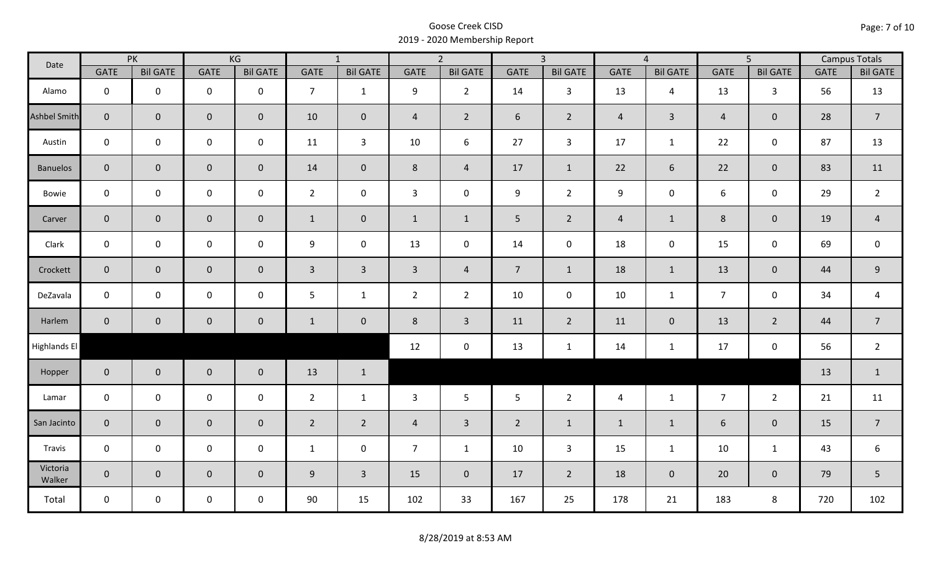| Date               |                | PK              |                     | KG              |                | $\overline{1}$  |                | $\overline{2}$  |                | $\overline{3}$  |                | $\overline{4}$  |                | $\overline{5}$  |             | <b>Campus Totals</b> |
|--------------------|----------------|-----------------|---------------------|-----------------|----------------|-----------------|----------------|-----------------|----------------|-----------------|----------------|-----------------|----------------|-----------------|-------------|----------------------|
|                    | <b>GATE</b>    | <b>Bil GATE</b> | <b>GATE</b>         | <b>Bil GATE</b> | <b>GATE</b>    | <b>Bil GATE</b> | <b>GATE</b>    | <b>Bil GATE</b> | <b>GATE</b>    | <b>Bil GATE</b> | <b>GATE</b>    | <b>Bil GATE</b> | <b>GATE</b>    | <b>Bil GATE</b> | <b>GATE</b> | <b>Bil GATE</b>      |
| Alamo              | $\mathbf{0}$   | $\mathbf 0$     | $\mathbf 0$         | $\mathbf 0$     | $\overline{7}$ | $\mathbf{1}$    | 9              | $\overline{2}$  | 14             | $\mathbf{3}$    | 13             | $\overline{4}$  | 13             | $\mathbf{3}$    | 56          | 13                   |
| Ashbel Smith       | $\mathbf{0}$   | $\overline{0}$  | $\mathbf 0$         | $\mathbf{0}$    | 10             | $\overline{0}$  | $\overline{4}$ | $\overline{2}$  | 6              | $2^{\circ}$     | $\overline{4}$ | $\mathbf{3}$    | $\overline{4}$ | $\mathbf{0}$    | 28          | $\overline{7}$       |
| Austin             | $\mathbf 0$    | $\mathbf 0$     | $\mathbf 0$         | $\mathbf 0$     | 11             | $\mathbf{3}$    | 10             | 6               | 27             | $\mathbf{3}$    | 17             | $\mathbf{1}$    | 22             | $\mathbf 0$     | 87          | 13                   |
| <b>Banuelos</b>    | $\overline{0}$ | $\mathbf 0$     | $\mathsf{O}\xspace$ | $\overline{0}$  | 14             | $\mathbf{0}$    | 8              | $\overline{4}$  | 17             | $\mathbf{1}$    | 22             | 6               | 22             | $\overline{0}$  | 83          | 11                   |
| Bowie              | $\mathbf 0$    | $\mathbf 0$     | $\mathsf{O}\xspace$ | $\mathbf 0$     | $2^{\circ}$    | $\mathbf 0$     | $\mathbf{3}$   | $\mathbf 0$     | 9              | $2^{\circ}$     | 9              | 0               | 6              | $\mathbf 0$     | 29          | $\overline{2}$       |
| Carver             | $\overline{0}$ | $\mathbf 0$     | $\mathsf{O}\xspace$ | $\overline{0}$  | $\mathbf{1}$   | $\mathbf 0$     | $\mathbf{1}$   | $\mathbf{1}$    | 5 <sub>1</sub> | $\overline{2}$  | $\overline{4}$ | $\mathbf{1}$    | $8\phantom{1}$ | $\mathbf{0}$    | 19          | $\overline{4}$       |
| Clark              | $\mathbf 0$    | $\mathbf 0$     | $\pmb{0}$           | $\mathbf 0$     | 9              | $\mathbf 0$     | 13             | $\mathbf 0$     | 14             | $\mathbf 0$     | 18             | $\mathbf 0$     | 15             | $\mathbf 0$     | 69          | $\mathbf 0$          |
| Crockett           | $\overline{0}$ | $\mathbf 0$     | $\mathbf 0$         | $\mathbf{0}$    | $\mathbf{3}$   | $\overline{3}$  | $\overline{3}$ | $\overline{4}$  | 7 <sup>7</sup> | $\mathbf{1}$    | 18             | $\mathbf{1}$    | 13             | $\mathbf 0$     | 44          | $9\,$                |
| DeZavala           | $\mathbf 0$    | $\mathbf 0$     | $\mathbf 0$         | $\mathbf 0$     | 5              | $\mathbf{1}$    | $\overline{2}$ | $\overline{2}$  | 10             | $\mathbf 0$     | 10             | $\mathbf{1}$    | $\overline{7}$ | $\mathbf 0$     | 34          | $\overline{a}$       |
| Harlem             | $\overline{0}$ | $\overline{0}$  | $\mathbf 0$         | $\mathbf{0}$    | $\mathbf{1}$   | $\overline{0}$  | 8              | $\overline{3}$  | 11             | $\overline{2}$  | 11             | $\mathbf{0}$    | 13             | $\overline{2}$  | 44          | $\overline{7}$       |
| Highlands El       |                |                 |                     |                 |                |                 | 12             | $\mathbf 0$     | 13             | $\mathbf{1}$    | 14             | $\mathbf{1}$    | 17             | $\mathbf 0$     | 56          | $\overline{2}$       |
| Hopper             | $\overline{0}$ | $\overline{0}$  | $\mathbf 0$         | $\overline{0}$  | 13             | $\mathbf{1}$    |                |                 |                |                 |                |                 |                |                 | 13          | $\mathbf{1}$         |
| Lamar              | $\mathbf 0$    | $\mathbf 0$     | $\mathbf 0$         | $\mathbf 0$     | $2^{\circ}$    | $\mathbf{1}$    | 3              | 5               | 5              | $\overline{2}$  | $\overline{4}$ | $\mathbf{1}$    | $\overline{7}$ | $2^{\circ}$     | 21          | 11                   |
| San Jacinto        | $\mathbf 0$    | $\overline{0}$  | $\mathbf 0$         | $\mathbf 0$     | $\overline{2}$ | $\overline{2}$  | $\overline{a}$ | $\overline{3}$  | $\overline{2}$ | $\mathbf{1}$    | $\mathbf{1}$   | $\mathbf{1}$    | 6              | $\mathbf 0$     | 15          | $\overline{7}$       |
| Travis             | $\mathbf 0$    | $\mathbf 0$     | $\mathsf{O}\xspace$ | $\mathbf 0$     | $\mathbf{1}$   | $\mathbf 0$     | $\overline{7}$ | $\mathbf{1}$    | 10             | $\mathbf{3}$    | 15             | $\mathbf{1}$    | 10             | $\mathbf{1}$    | 43          | 6                    |
| Victoria<br>Walker | $\overline{0}$ | $\mathbf 0$     | $\mathbf 0$         | $\mathbf{0}$    | 9              | $\overline{3}$  | 15             | $\mathbf{0}$    | 17             | $\overline{2}$  | 18             | $\mathbf 0$     | 20             | $\overline{0}$  | 79          | 5                    |
| Total              | $\mathbf 0$    | $\mathbf 0$     | $\mathbf 0$         | $\mathbf 0$     | 90             | 15              | 102            | 33              | 167            | 25              | 178            | 21              | 183            | 8               | 720         | 102                  |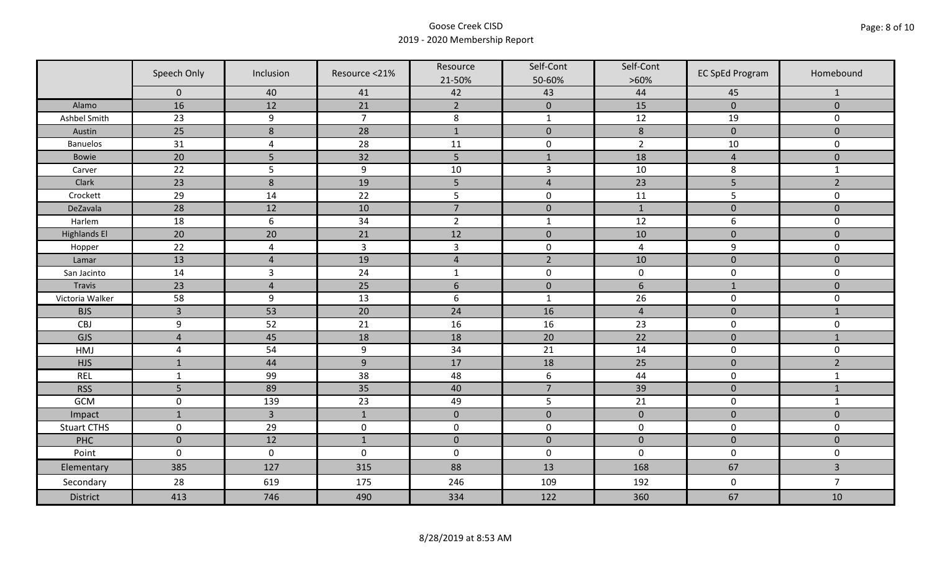|                     | Speech Only    | Inclusion        | Resource <21%  | Resource<br>21-50% | Self-Cont<br>50-60% | Self-Cont<br>$>60\%$ | <b>EC SpEd Program</b> | Homebound               |
|---------------------|----------------|------------------|----------------|--------------------|---------------------|----------------------|------------------------|-------------------------|
|                     | $\mathbf 0$    | 40               | 41             | 42                 | 43                  | 44                   | 45                     | $\mathbf{1}$            |
| Alamo               | 16             | 12               | 21             | $\overline{2}$     | $\mathbf 0$         | 15                   | $\mathbf{0}$           | $\mathbf{0}$            |
| Ashbel Smith        | 23             | 9                | $\overline{7}$ | $\bf 8$            | $\mathbf 1$         | $12$                 | 19                     | 0                       |
| Austin              | 25             | $\boldsymbol{8}$ | 28             | $\mathbf{1}$       | $\mathbf 0$         | $\,8\,$              | $\mathbf 0$            | $\overline{0}$          |
| <b>Banuelos</b>     | 31             | $\overline{4}$   | 28             | 11                 | $\pmb{0}$           | $\overline{2}$       | 10                     | $\mathbf 0$             |
| Bowie               | 20             | 5                | 32             | 5                  | $\mathbf{1}$        | 18                   | $\overline{4}$         | $\mathbf 0$             |
| Carver              | 22             | 5                | 9              | $10\,$             | $\mathsf{3}$        | 10                   | 8                      | $\mathbf{1}$            |
| Clark               | 23             | 8                | 19             | 5                  | $\overline{4}$      | 23                   | 5                      | $\overline{2}$          |
| Crockett            | 29             | 14               | 22             | 5                  | $\pmb{0}$           | 11                   | 5                      | 0                       |
| DeZavala            | 28             | 12               | 10             | $\overline{7}$     | $\pmb{0}$           | $1\,$                | $\pmb{0}$              | $\mathbf 0$             |
| Harlem              | 18             | $6\,$            | 34             | $\overline{2}$     | $\mathbf{1}$        | 12                   | 6                      | 0                       |
| <b>Highlands El</b> | 20             | 20               | 21             | 12                 | $\pmb{0}$           | 10                   | $\pmb{0}$              | $\mathbf 0$             |
| Hopper              | 22             | $\overline{4}$   | $\overline{3}$ | $\mathsf{3}$       | $\pmb{0}$           | $\overline{a}$       | 9                      | 0                       |
| Lamar               | 13             | $\overline{4}$   | 19             | $\overline{4}$     | $\overline{2}$      | 10                   | $\mathbf 0$            | $\overline{0}$          |
| San Jacinto         | 14             | $\overline{3}$   | 24             | $\mathbf{1}$       | $\pmb{0}$           | $\pmb{0}$            | $\pmb{0}$              | 0                       |
| Travis              | 23             | $\overline{4}$   | 25             | $6\,$              | $\pmb{0}$           | $\boldsymbol{6}$     | $\mathbf{1}$           | $\mathbf 0$             |
| Victoria Walker     | 58             | 9                | 13             | $\boldsymbol{6}$   | $\mathbf{1}$        | 26                   | $\pmb{0}$              | 0                       |
| <b>BJS</b>          | $\overline{3}$ | 53               | 20             | 24                 | 16                  | $\overline{4}$       | $\pmb{0}$              | $\mathbf{1}$            |
| CBJ                 | 9              | 52               | 21             | 16                 | 16                  | 23                   | $\pmb{0}$              | 0                       |
| GJS                 | $\overline{4}$ | 45               | 18             | 18                 | 20                  | 22                   | $\pmb{0}$              | $\mathbf{1}$            |
| HMJ                 | $\overline{4}$ | 54               | 9              | 34                 | 21                  | 14                   | $\mathbf 0$            | 0                       |
| <b>HJS</b>          | $\mathbf{1}$   | 44               | 9              | 17                 | 18                  | 25                   | $\mathbf 0$            | $\overline{2}$          |
| <b>REL</b>          | $\mathbf{1}$   | 99               | 38             | 48                 | $\boldsymbol{6}$    | 44                   | $\pmb{0}$              | $\mathbf{1}$            |
| <b>RSS</b>          | 5              | 89               | 35             | 40                 | $\overline{7}$      | 39                   | $\mathbf 0$            | $\mathbf 1$             |
| GCM                 | $\pmb{0}$      | 139              | 23             | 49                 | 5                   | 21                   | $\pmb{0}$              | $\mathbf{1}$            |
| Impact              | $\mathbf{1}$   | $\overline{3}$   | $\mathbf{1}$   | $\mathbf 0$        | $\pmb{0}$           | $\pmb{0}$            | $\pmb{0}$              | $\mathbf 0$             |
| <b>Stuart CTHS</b>  | $\mathsf 0$    | 29               | $\pmb{0}$      | $\pmb{0}$          | $\pmb{0}$           | $\pmb{0}$            | $\pmb{0}$              | 0                       |
| PHC                 | $\mathbf 0$    | 12               | $\mathbf{1}$   | $\mathbf 0$        | $\mathbf 0$         | $\mathbf 0$          | $\mathbf 0$            | $\mathbf 0$             |
| Point               | $\mathbf 0$    | $\pmb{0}$        | $\pmb{0}$      | $\pmb{0}$          | $\pmb{0}$           | $\mathbf 0$          | $\pmb{0}$              | 0                       |
| Elementary          | 385            | 127              | 315            | 88                 | 13                  | 168                  | 67                     | $\overline{\mathbf{3}}$ |
| Secondary           | 28             | 619              | 175            | 246                | 109                 | 192                  | $\pmb{0}$              | $\overline{7}$          |
| <b>District</b>     | 413            | 746              | 490            | 334                | 122                 | 360                  | 67                     | 10                      |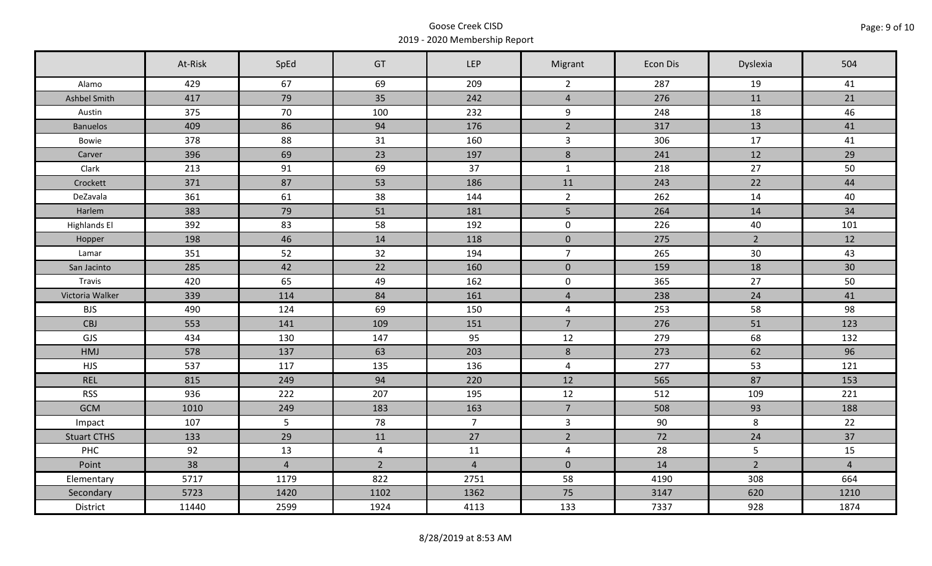|                     | At-Risk | SpEd           | GT             | <b>LEP</b>     | Migrant             | Econ Dis | Dyslexia       | 504            |
|---------------------|---------|----------------|----------------|----------------|---------------------|----------|----------------|----------------|
| Alamo               | 429     | 67             | 69             | 209            | $\overline{2}$      | 287      | 19             | 41             |
| Ashbel Smith        | 417     | 79             | 35             | 242            | $\overline{4}$      | 276      | 11             | 21             |
| Austin              | 375     | 70             | 100            | 232            | 9                   | 248      | 18             | 46             |
| <b>Banuelos</b>     | 409     | 86             | 94             | 176            | $\overline{2}$      | 317      | 13             | 41             |
| Bowie               | 378     | 88             | 31             | 160            | $\overline{3}$      | 306      | 17             | 41             |
| Carver              | 396     | 69             | 23             | 197            | 8                   | 241      | 12             | 29             |
| Clark               | 213     | 91             | 69             | 37             | $\mathbf{1}$        | 218      | 27             | 50             |
| Crockett            | 371     | 87             | 53             | 186            | 11                  | 243      | 22             | 44             |
| DeZavala            | 361     | 61             | 38             | 144            | $\overline{2}$      | 262      | 14             | 40             |
| Harlem              | 383     | 79             | 51             | 181            | 5 <sub>1</sub>      | 264      | 14             | 34             |
| <b>Highlands El</b> | 392     | 83             | 58             | 192            | $\mathbf 0$         | 226      | 40             | 101            |
| Hopper              | 198     | 46             | 14             | 118            | $\mathbf 0$         | 275      | $2^{\circ}$    | 12             |
| Lamar               | 351     | 52             | 32             | 194            | $\overline{7}$      | 265      | 30             | 43             |
| San Jacinto         | 285     | 42             | 22             | 160            | $\pmb{0}$           | 159      | 18             | 30             |
| Travis              | 420     | 65             | 49             | 162            | $\mathsf{O}\xspace$ | 365      | 27             | 50             |
| Victoria Walker     | 339     | 114            | 84             | 161            | $\overline{4}$      | 238      | 24             | 41             |
| <b>BJS</b>          | 490     | 124            | 69             | 150            | $\overline{4}$      | 253      | 58             | 98             |
| CBJ                 | 553     | 141            | 109            | 151            | $\overline{7}$      | 276      | 51             | 123            |
| GJS                 | 434     | 130            | 147            | 95             | 12                  | 279      | 68             | 132            |
| HMJ                 | 578     | 137            | 63             | 203            | $8\phantom{1}$      | 273      | 62             | 96             |
| <b>HJS</b>          | 537     | 117            | 135            | 136            | $\overline{4}$      | 277      | 53             | 121            |
| <b>REL</b>          | 815     | 249            | 94             | 220            | 12                  | 565      | 87             | 153            |
| <b>RSS</b>          | 936     | 222            | 207            | 195            | 12                  | 512      | 109            | 221            |
| <b>GCM</b>          | 1010    | 249            | 183            | 163            | $\overline{7}$      | 508      | 93             | 188            |
| Impact              | 107     | 5              | 78             | 7 <sup>7</sup> | $\mathbf{3}$        | 90       | 8              | 22             |
| <b>Stuart CTHS</b>  | 133     | 29             | 11             | 27             | $\overline{2}$      | 72       | 24             | 37             |
| PHC                 | 92      | 13             | $\overline{4}$ | 11             | $\overline{4}$      | 28       | 5              | 15             |
| Point               | 38      | $\overline{4}$ | $\overline{2}$ | $\overline{4}$ | $\mathbf 0$         | 14       | $\overline{2}$ | $\overline{4}$ |
| Elementary          | 5717    | 1179           | 822            | 2751           | 58                  | 4190     | 308            | 664            |
| Secondary           | 5723    | 1420           | 1102           | 1362           | 75                  | 3147     | 620            | 1210           |
| District            | 11440   | 2599           | 1924           | 4113           | 133                 | 7337     | 928            | 1874           |